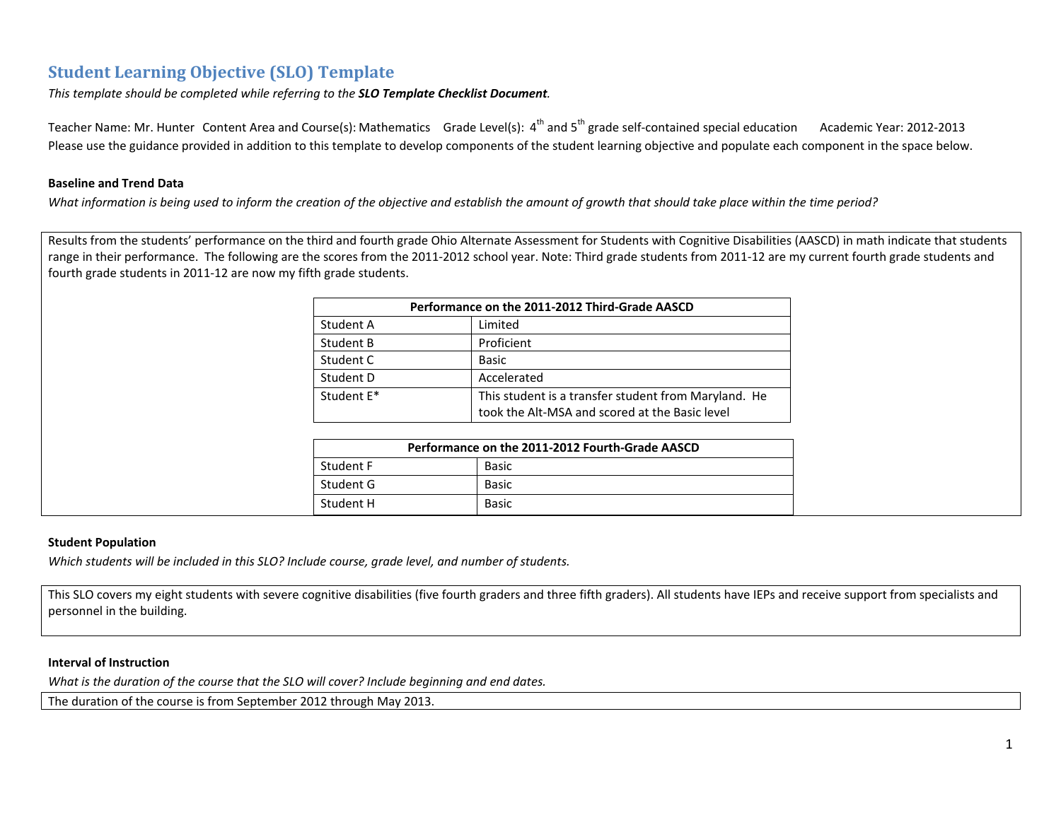# **Student Learning Objective (SLO) Template**

*This template should be completed while referring to the SLO Template Checklist Document.*

Teacher Name: Mr. Hunter Content Area and Course(s): Mathematics Grade Level(s): 4<sup>th</sup> and 5<sup>th</sup> grade self-contained special education Academic Year: 2012-2013 Please use the guidance provided in addition to this template to develop components of the student learning objective and populate each component in the space below.

## **Baseline and Trend Data**

What information is being used to inform the creation of the objective and establish the amount of growth that should take place within the time period?

Results from the students' performance on the third and fourth grade Ohio Alternate Assessment for Students with Cognitive Disabilities (AASCD) in math indicate that students range in their performance. The following are the scores from the 2011-2012 school year. Note: Third grade students from 2011-12 are my current fourth grade students and fourth grade students in 2011‐12 are now my fifth grade students.

| Performance on the 2011-2012 Third-Grade AASCD |                                                                                                        |  |  |  |
|------------------------------------------------|--------------------------------------------------------------------------------------------------------|--|--|--|
| Student A                                      | Limited                                                                                                |  |  |  |
| Student B                                      | Proficient                                                                                             |  |  |  |
| Student C                                      | <b>Basic</b>                                                                                           |  |  |  |
| Student D                                      | Accelerated                                                                                            |  |  |  |
| Student E*                                     | This student is a transfer student from Maryland. He<br>took the Alt-MSA and scored at the Basic level |  |  |  |

| Performance on the 2011-2012 Fourth-Grade AASCD |              |  |
|-------------------------------------------------|--------------|--|
| Student F                                       | <b>Basic</b> |  |
| Student G                                       | <b>Basic</b> |  |
| Student H                                       | Basic        |  |

### **Student Population**

*Which students will be included in this SLO? Include course, grade level, and number of students.*

This SLO covers my eight students with severe cognitive disabilities (five fourth graders and three fifth graders). All students have IEPs and receive support from specialists and personnel in the building.

### **Interval of Instruction**

*What is the duration of the course that the SLO will cover? Include beginning and end dates.*

The duration of the course is from September 2012 through May 2013.